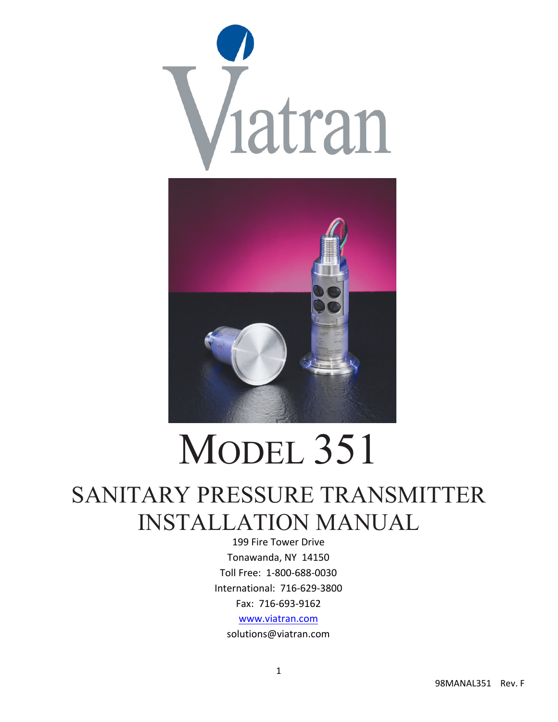



# MODEL 351

# SANITARY PRESSURE TRANSMITTER INSTALLATION MANUAL

199 Fire Tower Drive Tonawanda, NY 14150 Toll Free: 1‐800‐688‐0030 International: 716‐629‐3800 Fax: 716‐693‐9162 www.viatran.com solutions@viatran.com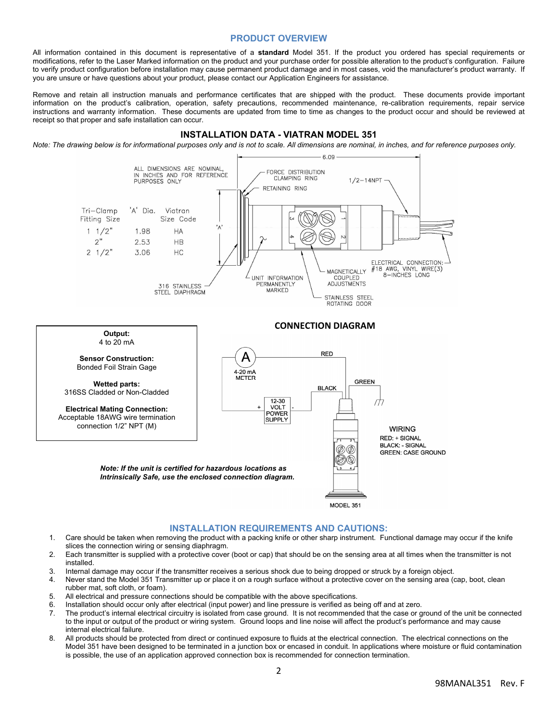# **PRODUCT OVERVIEW**

All information contained in this document is representative of a **standard** Model 351. If the product you ordered has special requirements or modifications, refer to the Laser Marked information on the product and your purchase order for possible alteration to the product's configuration. Failure to verify product configuration before installation may cause permanent product damage and in most cases, void the manufacturer's product warranty. If you are unsure or have questions about your product, please contact our Application Engineers for assistance.

Remove and retain all instruction manuals and performance certificates that are shipped with the product. These documents provide important information on the product's calibration, operation, safety precautions, recommended maintenance, re-calibration requirements, repair service instructions and warranty information. These documents are updated from time to time as changes to the product occur and should be reviewed at receipt so that proper and safe installation can occur.

#### **INSTALLATION DATA - VIATRAN MODEL 351**

*Note: The drawing below is for informational purposes only and is not to scale. All dimensions are nominal, in inches, and for reference purposes only.* 





#### **INSTALLATION REQUIREMENTS AND CAUTIONS:**

- 1. Care should be taken when removing the product with a packing knife or other sharp instrument. Functional damage may occur if the knife slices the connection wiring or sensing diaphragm.
- 2. Each transmitter is supplied with a protective cover (boot or cap) that should be on the sensing area at all times when the transmitter is not installed.
- 3. Internal damage may occur if the transmitter receives a serious shock due to being dropped or struck by a foreign object.
- 4. Never stand the Model 351 Transmitter up or place it on a rough surface without a protective cover on the sensing area (cap, boot, clean rubber mat, soft cloth, or foam).
- 5. All electrical and pressure connections should be compatible with the above specifications.
- 6. Installation should occur only after electrical (input power) and line pressure is verified as being off and at zero.
- 7. The product's internal electrical circuitry is isolated from case ground. It is not recommended that the case or ground of the unit be connected to the input or output of the product or wiring system. Ground loops and line noise will affect the product's performance and may cause internal electrical failure.
- 8. All products should be protected from direct or continued exposure to fluids at the electrical connection. The electrical connections on the Model 351 have been designed to be terminated in a junction box or encased in conduit. In applications where moisture or fluid contamination is possible, the use of an application approved connection box is recommended for connection termination.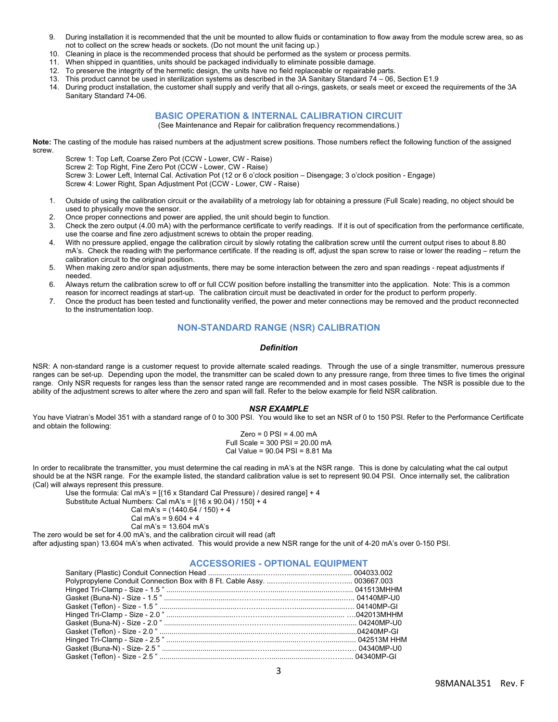- 9. During installation it is recommended that the unit be mounted to allow fluids or contamination to flow away from the module screw area, so as not to collect on the screw heads or sockets. (Do not mount the unit facing up.)
- 10. Cleaning in place is the recommended process that should be performed as the system or process permits.
- When shipped in quantities, units should be packaged individually to eliminate possible damage.
- 12. To preserve the integrity of the hermetic design, the units have no field replaceable or repairable parts.
- 13. This product cannot be used in sterilization systems as described in the 3A Sanitary Standard 74 06, Section E1.9
- 14. During product installation, the customer shall supply and verify that all o-rings, gaskets, or seals meet or exceed the requirements of the 3A Sanitary Standard 74-06.

# **BASIC OPERATION & INTERNAL CALIBRATION CIRCUIT**

(See Maintenance and Repair for calibration frequency recommendations.)

**Note:** The casting of the module has raised numbers at the adjustment screw positions. Those numbers reflect the following function of the assigned screw.

Screw 1: Top Left, Coarse Zero Pot (CCW - Lower, CW - Raise) Screw 2: Top Right, Fine Zero Pot (CCW - Lower, CW - Raise) Screw 3: Lower Left, Internal Cal. Activation Pot (12 or 6 o'clock position – Disengage; 3 o'clock position - Engage)

- Screw 4: Lower Right, Span Adjustment Pot (CCW Lower, CW Raise)
- 1. Outside of using the calibration circuit or the availability of a metrology lab for obtaining a pressure (Full Scale) reading, no object should be used to physically move the sensor.
- 2. Once proper connections and power are applied, the unit should begin to function.
- 3. Check the zero output (4.00 mA) with the performance certificate to verify readings. If it is out of specification from the performance certificate, use the coarse and fine zero adjustment screws to obtain the proper reading.
- 4. With no pressure applied, engage the calibration circuit by slowly rotating the calibration screw until the current output rises to about 8.80 mA's. Check the reading with the performance certificate. If the reading is off, adjust the span screw to raise or lower the reading – return the calibration circuit to the original position.
- 5. When making zero and/or span adjustments, there may be some interaction between the zero and span readings repeat adjustments if needed.
- 6. Always return the calibration screw to off or full CCW position before installing the transmitter into the application. Note: This is a common reason for incorrect readings at start-up. The calibration circuit must be deactivated in order for the product to perform properly.
- 7. Once the product has been tested and functionality verified, the power and meter connections may be removed and the product reconnected to the instrumentation loop.

# **NON-STANDARD RANGE (NSR) CALIBRATION**

#### *Definition*

NSR: A non-standard range is a customer request to provide alternate scaled readings. Through the use of a single transmitter, numerous pressure ranges can be set-up. Depending upon the model, the transmitter can be scaled down to any pressure range, from three times to five times the original range. Only NSR requests for ranges less than the sensor rated range are recommended and in most cases possible. The NSR is possible due to the ability of the adjustment screws to alter where the zero and span will fall. Refer to the below example for field NSR calibration.

#### *NSR EXAMPLE*

You have Viatran's Model 351 with a standard range of 0 to 300 PSI. You would like to set an NSR of 0 to 150 PSI. Refer to the Performance Certificate and obtain the following:

> $Zero = 0$  PSI = 4.00 mA Full Scale = 300 PSI = 20.00 mA Cal Value = 90.04 PSI = 8.81 Ma

In order to recalibrate the transmitter, you must determine the cal reading in mA's at the NSR range. This is done by calculating what the cal output should be at the NSR range. For the example listed, the standard calibration value is set to represent 90.04 PSI. Once internally set, the calibration (Cal) will always represent this pressure.

Use the formula: Cal mA's = [(16 x Standard Cal Pressure) / desired range] + 4 Substitute Actual Numbers: Cal mA's =  $[(16 \times 90.04) / 150] + 4$ 

Cal mA's =  $(1440.64 / 150) + 4$ 

```
Cal mA's = 9.604 + 4
```
Cal mA's = 13.604 mA's The zero would be set for 4.00 mA's, and the calibration circuit will read (aft

after adjusting span) 13.604 mA's when activated. This would provide a new NSR range for the unit of 4-20 mA's over 0-150 PSI.

# **ACCESSORIES - OPTIONAL EQUIPMENT**